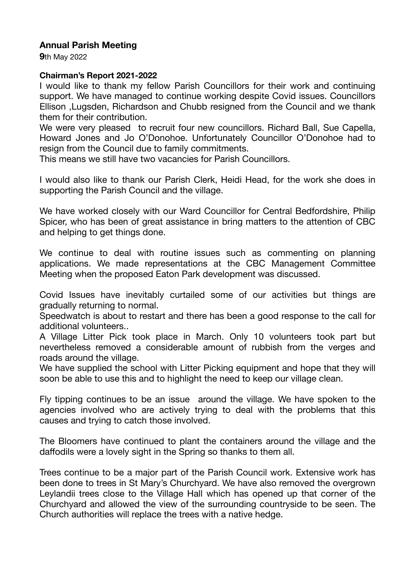## **Annual Parish Meeting**

**9**th May 2022

## **Chairman's Report 2021-2022**

I would like to thank my fellow Parish Councillors for their work and continuing support. We have managed to continue working despite Covid issues. Councillors Ellison ,Lugsden, Richardson and Chubb resigned from the Council and we thank them for their contribution.

We were very pleased to recruit four new councillors. Richard Ball, Sue Capella, Howard Jones and Jo O'Donohoe. Unfortunately Councillor O'Donohoe had to resign from the Council due to family commitments.

This means we still have two vacancies for Parish Councillors.

I would also like to thank our Parish Clerk, Heidi Head, for the work she does in supporting the Parish Council and the village.

We have worked closely with our Ward Councillor for Central Bedfordshire, Philip Spicer, who has been of great assistance in bring matters to the attention of CBC and helping to get things done.

We continue to deal with routine issues such as commenting on planning applications. We made representations at the CBC Management Committee Meeting when the proposed Eaton Park development was discussed.

Covid Issues have inevitably curtailed some of our activities but things are gradually returning to normal.

Speedwatch is about to restart and there has been a good response to the call for additional volunteers..

A Village Litter Pick took place in March. Only 10 volunteers took part but nevertheless removed a considerable amount of rubbish from the verges and roads around the village.

We have supplied the school with Litter Picking equipment and hope that they will soon be able to use this and to highlight the need to keep our village clean.

Fly tipping continues to be an issue around the village. We have spoken to the agencies involved who are actively trying to deal with the problems that this causes and trying to catch those involved.

The Bloomers have continued to plant the containers around the village and the daffodils were a lovely sight in the Spring so thanks to them all.

Trees continue to be a major part of the Parish Council work. Extensive work has been done to trees in St Mary's Churchyard. We have also removed the overgrown Leylandii trees close to the Village Hall which has opened up that corner of the Churchyard and allowed the view of the surrounding countryside to be seen. The Church authorities will replace the trees with a native hedge.